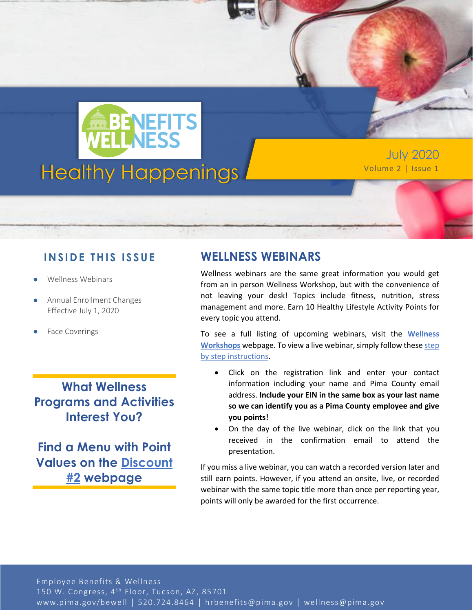

July 2020

### **IN SID E TH IS ISS UE**

- Wellness Webinars
- Annual Enrollment Changes Effective July 1, 2020
- Face Coverings

## **What Wellness Programs and Activities Interest You?**

**Find a Menu with Point Values on the [Discount](https://webcms.pima.gov/cms/One.aspx?portalId=169&pageId=474239)  [#2](https://webcms.pima.gov/cms/One.aspx?portalId=169&pageId=474239) webpage**

### **WELLNESS WEBINARS**

Wellness webinars are the same great information you would get from an in person Wellness Workshop, but with the convenience of not leaving your desk! Topics include fitness, nutrition, stress management and more. Earn 10 Healthy Lifestyle Activity Points for every topic you attend.

To see a full listing of upcoming webinars, visit the **[Wellness](https://webcms.pima.gov/cms/one.aspx?portalId=169&pageId=17864)  [Workshops](https://webcms.pima.gov/cms/one.aspx?portalId=169&pageId=17864)** webpage. To view a live webinar, simply follow thes[e step](https://webcms.pima.gov/UserFiles/Servers/Server_6/File/Government/Human%20Resources/Wellness/Wellness%20Workshops/2020/How%20to%20View%20at%20WELCOAZ%20Webinar.pdf)  [by step instructions.](https://webcms.pima.gov/UserFiles/Servers/Server_6/File/Government/Human%20Resources/Wellness/Wellness%20Workshops/2020/How%20to%20View%20at%20WELCOAZ%20Webinar.pdf)

- Click on the registration link and enter your contact information including your name and Pima County email address. **Include your EIN in the same box as your last name so we can identify you as a Pima County employee and give you points!**
- On the day of the live webinar, click on the link that you received in the confirmation email to attend the presentation.

If you miss a live webinar, you can watch a recorded version later and still earn points. However, if you attend an onsite, live, or recorded webinar with the same topic title more than once per reporting year, points will only be awarded for the first occurrence.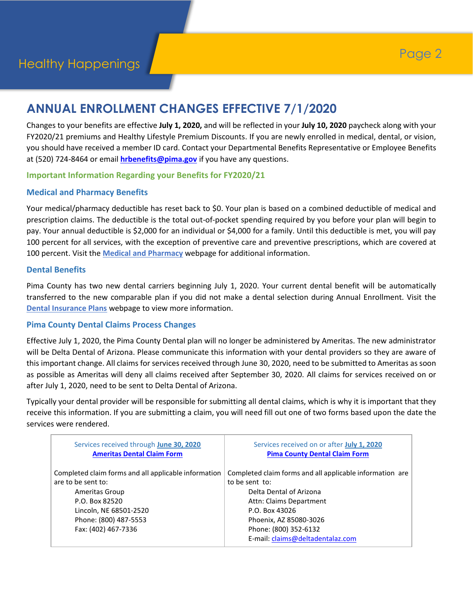# **ANNUAL ENROLLMENT CHANGES EFFECTIVE 7/1/2020**

Changes to your benefits are effective **July 1, 2020,** and will be reflected in your **July 10, 2020** paycheck along with your FY2020/21 premiums and Healthy Lifestyle Premium Discounts. If you are newly enrolled in medical, dental, or vision, you should have received a member ID card. Contact your Departmental Benefits Representative or Employee Benefits at (520) 724-8464 or email **[hrbenefits@pima.gov](mailto:hrbenefits@pima.gov)** if you have any questions.

#### **Important Information Regarding your Benefits for FY2020/21**

#### **Medical and Pharmacy Benefits**

Your medical/pharmacy deductible has reset back to \$0. Your plan is based on a combined deductible of medical and prescription claims. The deductible is the total out-of-pocket spending required by you before your plan will begin to pay. Your annual deductible is \$2,000 for an individual or \$4,000 for a family. Until this deductible is met, you will pay 100 percent for all services, with the exception of preventive care and preventive prescriptions, which are covered at 100 percent. Visit the **[Medical and Pharmacy](https://webcms.pima.gov/cms/One.aspx?portalId=169&pageId=34838)** webpage for additional information.

#### **Dental Benefits**

Pima County has two new dental carriers beginning July 1, 2020. Your current dental benefit will be automatically transferred to the new comparable plan if you did not make a dental selection during Annual Enrollment. Visit the **[Dental Insurance Plans](https://webcms.pima.gov/cms/One.aspx?portalId=169&pageId=34913)** webpage to view more information.

#### **Pima County Dental Claims Process Changes**

Effective July 1, 2020, the Pima County Dental plan will no longer be administered by Ameritas. The new administrator will be Delta Dental of Arizona. Please communicate this information with your dental providers so they are aware of this important change. All claims for services received through June 30, 2020, need to be submitted to Ameritas as soon as possible as Ameritas will deny all claims received after September 30, 2020. All claims for services received on or after July 1, 2020, need to be sent to Delta Dental of Arizona.

Typically your dental provider will be responsible for submitting all dental claims, which is why it is important that they receive this information. If you are submitting a claim, you will need fill out one of two forms based upon the date the services were rendered.

| Services received through June 30, 2020<br><b>Ameritas Dental Claim Form</b> | Services received on or after July 1, 2020<br><b>Pima County Dental Claim Form</b> |
|------------------------------------------------------------------------------|------------------------------------------------------------------------------------|
| Completed claim forms and all applicable information<br>are to be sent to:   | Completed claim forms and all applicable information are<br>to be sent to:         |
| Ameritas Group                                                               | Delta Dental of Arizona                                                            |
| P.O. Box 82520                                                               | Attn: Claims Department                                                            |
| Lincoln, NE 68501-2520                                                       | P.O. Box 43026                                                                     |
| Phone: (800) 487-5553                                                        | Phoenix, AZ 85080-3026                                                             |
| Fax: (402) 467-7336                                                          | Phone: (800) 352-6132                                                              |
|                                                                              | E-mail: claims@deltadentalaz.com                                                   |